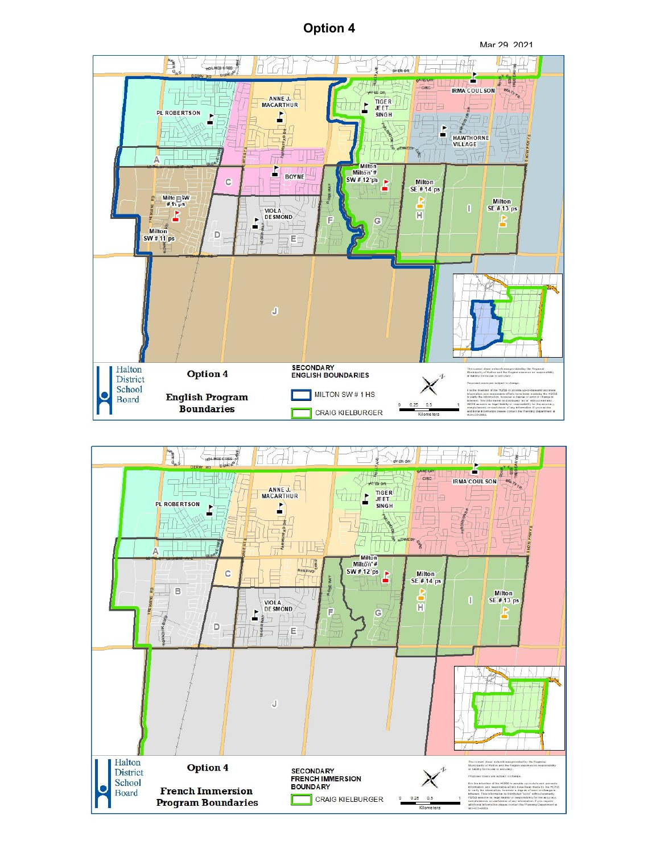## **Option 4**





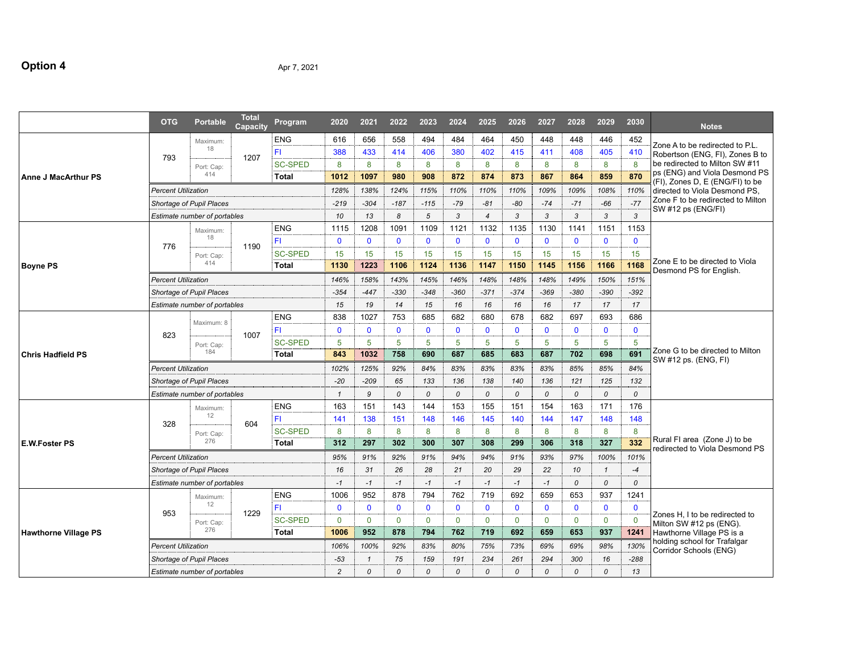# **Option 4** Apr 7, 2021

|                             | <b>OTG</b>                          | <b>Portable</b>                     | <b>Total</b><br>Capacity | Program        | 2020           | 2021         | 2022         | 2023          | 2024                 | 2025           | 2026          | 2027         | 2028          | 2029          | 2030          | <b>Notes</b>                                                     |
|-----------------------------|-------------------------------------|-------------------------------------|--------------------------|----------------|----------------|--------------|--------------|---------------|----------------------|----------------|---------------|--------------|---------------|---------------|---------------|------------------------------------------------------------------|
|                             |                                     | Maximum:                            |                          | <b>ENG</b>     | 616            | 656          | 558          | 494           | 484                  | 464            | 450           | 448          | 448           | 446           | 452           | Zone A to be redirected to P.L.                                  |
|                             | 793                                 | 18                                  | 1207                     | FI.            | 388            | 433          | 414          | 406           | 380                  | 402            | 415           | 411          | 408           | 405           | 410           | Robertson (ENG, FI), Zones B to                                  |
|                             |                                     | Port: Cap:                          |                          | <b>SC-SPED</b> | 8              | 8            | 8            | 8             | 8                    | 8              | 8             | 8            | 8             | 8             | 8             | be redirected to Milton SW #11                                   |
| <b>Anne J MacArthur PS</b>  |                                     | 414                                 |                          | <b>Total</b>   | 1012           | 1097         | 980          | 908           | 872                  | 874            | 873           | 867          | 864           | 859           | 870           | ps (ENG) and Viola Desmond PS<br>(FI), Zones D, E (ENG/FI) to be |
|                             | <b>Percent Utilization</b>          |                                     |                          |                | 128%           | 138%         | 124%         | 115%          | 110%                 | 110%           | 110%          | 109%         | 109%          | 108%          | 110%          | directed to Viola Desmond PS,                                    |
|                             |                                     | Shortage of Pupil Places            |                          |                | $-219$         | $-304$       | $-187$       | $-115$        | $-79$                | $-81$          | $-80$         | $-74$        | $-71$         | $-66$         | $-77$         | Zone F to be redirected to Milton<br>SW #12 ps (ENG/FI)          |
|                             |                                     | Estimate number of portables        |                          |                | 10             | 13           | 8            | 5             | 3                    | $\overline{4}$ | 3             | 3            | 3             | 3             | $\mathbf{3}$  |                                                                  |
|                             |                                     | Maximum:                            |                          | <b>ENG</b>     | 1115           | 1208         | 1091         | 1109          | 1121                 | 1132           | 1135          | 1130         | 1141          | 1151          | 1153          |                                                                  |
|                             | 776                                 | 18                                  | 1190                     | FI.            | $\mathbf{0}$   | $\mathbf{0}$ | $\mathbf{0}$ | $\mathbf{0}$  | $\mathbf{0}$         | $\mathbf{0}$   | $\mathbf{0}$  | $\mathbf 0$  | $\mathbf{0}$  | $\mathbf{0}$  | $\mathbf{0}$  |                                                                  |
|                             |                                     | Port: Cap:                          |                          | <b>SC-SPED</b> | 15             | 15           | 15           | 15            | 15                   | 15             | 15            | 15           | 15            | 15            | 15            |                                                                  |
| <b>Boyne PS</b>             |                                     | 414                                 |                          | Total          | 1130           | 1223         | 1106         |               | 1124<br>1136<br>1147 |                | 1150<br>1145  |              | 1156          | 1166          | 1168          | Zone E to be directed to Viola<br>Desmond PS for English.        |
|                             | <b>Percent Utilization</b>          |                                     |                          |                | 146%           | 158%         | 143%         | 145%          | 146%                 | 148%           | 148%          | 148%         | 149%          | 150%          | 151%          |                                                                  |
|                             | Shortage of Pupil Places            |                                     |                          |                |                | $-447$       | $-330$       | $-348$        | $-360$               | $-371$         | $-374$        | $-369$       | $-380$        | $-390$        | $-392$        |                                                                  |
|                             |                                     | <b>Estimate number of portables</b> |                          |                | 15             | 19           | 14           | 15            | 16                   | 16             | 16            | 16           | 17            | 17            | 17            |                                                                  |
|                             |                                     |                                     |                          | <b>ENG</b>     | 838            | 1027         | 753          | 685           | 682                  | 680            | 678           | 682          | 697           | 693           | 686           |                                                                  |
|                             |                                     | Maximum: 8                          |                          | FI.            | $\mathbf{0}$   | $\mathbf{0}$ | $\mathbf 0$  | $\mathbf{0}$  | $\mathbf 0$          | $\mathbf 0$    | $\mathbf{0}$  | $\mathbf 0$  | $\mathbf 0$   | $\mathbf{0}$  | $\mathbf 0$   |                                                                  |
|                             | 823                                 | Port: Cap:                          | 1007                     | <b>SC-SPED</b> | 5              | 5            | 5            | 5             | 5                    | 5              | 5             | 5            | 5             | 5             | 5             |                                                                  |
| <b>Chris Hadfield PS</b>    |                                     | 184                                 |                          | <b>Total</b>   | 843            | 1032         | 758          | 690           | 687                  | 685            | 683           | 687          | 702           | 698           | 691           | Zone G to be directed to Milton<br>SW #12 ps. (ENG, FI)          |
|                             | <b>Percent Utilization</b>          |                                     |                          |                | 102%           | 125%         | 92%          | 84%           | 83%                  | 83%            | 83%           | 83%          | 85%           | 85%           | 84%           |                                                                  |
|                             | Shortage of Pupil Places            |                                     |                          |                | $-20$          | $-209$       | 65           | 133           | 136                  | 138            | 140           | 136          | 121           | 125           | 132           |                                                                  |
|                             | <b>Estimate number of portables</b> |                                     |                          |                | $\mathbf{1}$   | 9            | 0            | $\mathcal{O}$ | $\mathcal{O}$        | $\Omega$       | $\mathcal{O}$ | 0            | $\mathcal{O}$ | 0             | $\mathcal{O}$ |                                                                  |
|                             |                                     | Maximum:                            |                          | <b>ENG</b>     | 163            | 151          | 143          | 144           | 153                  | 155            | 151           | 154          | 163           | 171           | 176           |                                                                  |
|                             |                                     | 12                                  |                          | FL.            | 141            | 138          | 151          | 148           | 146                  | 145            | 140           | 144          | 147           | 148           | 148           |                                                                  |
|                             | 328                                 | Port: Cap:                          | 604                      | <b>SC-SPED</b> | 8              | 8            | 8            | 8             | 8                    | 8              | 8             | 8            | 8             | 8             | 8             |                                                                  |
| E.W.Foster PS               |                                     | 276                                 |                          | <b>Total</b>   | 312            | 297          | 302          | 300           | 307                  | 308            | 299           | 306          | 318           | 327           | 332           | Rural FI area (Zone J) to be<br>redirected to Viola Desmond PS   |
|                             | <b>Percent Utilization</b>          |                                     |                          |                | 95%            | 91%          | 92%          | 91%           | 94%                  | 94%            | 91%           | 93%          | 97%           | 100%          | 101%          |                                                                  |
|                             |                                     | Shortage of Pupil Places            |                          |                | 16             | 31           | 26           | 28            | 21                   | 20             | 29            | 22           | 10            | $\mathcal{I}$ | $-4$          |                                                                  |
|                             |                                     | Estimate number of portables        |                          |                | $-1$           | $-1$         | $-1$         | $-1$          | $-1$                 | $-1$           | $-1$          | $-1$         | 0             | 0             | 0             |                                                                  |
|                             |                                     | Maximum:                            |                          | <b>ENG</b>     | 1006           | 952          | 878          | 794           | 762                  | 719            | 692           | 659          | 653           | 937           | 1241          |                                                                  |
|                             |                                     | 12                                  |                          | FI.            | $\mathbf{0}$   | $\mathbf{0}$ | $\mathbf 0$  | $\mathbf{0}$  | $\mathbf 0$          | $\mathbf 0$    | $\mathbf{0}$  | $\mathbf{0}$ | $\mathbf 0$   | $\mathbf{0}$  | $\mathbf{0}$  |                                                                  |
|                             | 953                                 | Port: Cap:                          | 1229                     | <b>SC-SPED</b> | $\mathbf{0}$   | $\mathbf 0$  | $\mathbf 0$  | $\mathbf 0$   | $\mathbf 0$          | $\mathbf 0$    | $\mathbf 0$   | $\mathbf 0$  | $\mathbf 0$   | $\mathbf 0$   | $\mathbf 0$   | Zones H. I to be redirected to<br>Milton SW #12 ps (ENG).        |
| <b>Hawthorne Village PS</b> |                                     | 276                                 |                          | <b>Total</b>   | 1006           | 952          | 878          | 794           | 762                  | 719            | 692           | 659          | 653           | 937           | 1241          | Hawthorne Village PS is a                                        |
|                             | <b>Percent Utilization</b>          |                                     |                          |                | 106%           | 100%         | 92%          | 83%           | 80%                  | 75%            | 73%           | 69%          | 69%           | 98%           | 130%          | holding school for Trafalgar                                     |
|                             |                                     | <b>Shortage of Pupil Places</b>     |                          |                | $-53$          | $\mathbf{1}$ | 75           | 159           | 191                  | 234            | 261           | 294          | 300           | 16            | $-288$        | Corridor Schools (ENG)                                           |
|                             |                                     | <b>Estimate number of portables</b> |                          |                | $\overline{c}$ | $\Omega$     | $\Omega$     | $\Omega$      | $\Omega$             | $\mathcal{O}$  | $\Omega$      | $\Omega$     | $\Omega$      | $\Omega$      | 13            |                                                                  |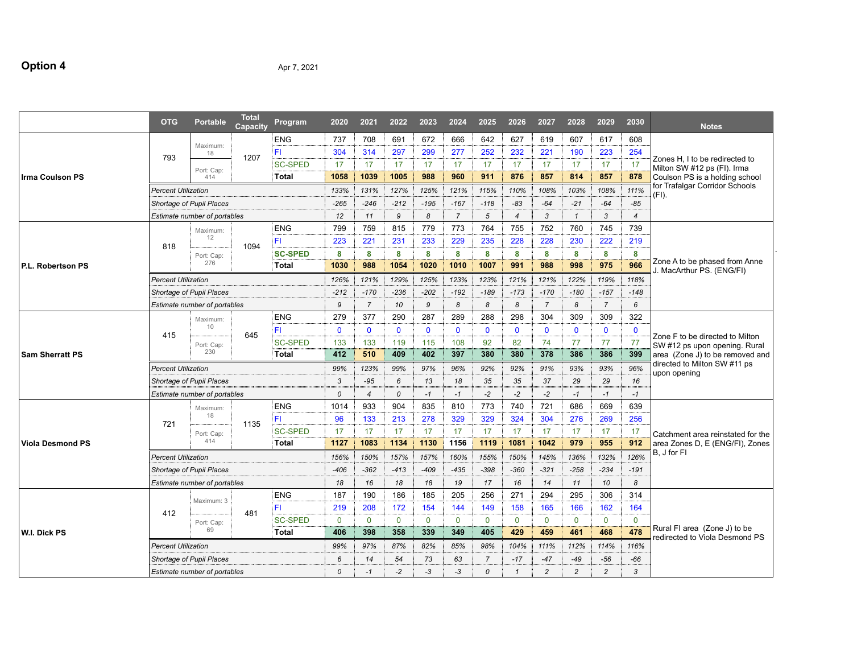## **Option 4** Apr 7, 2021

|                         | <b>OTG</b>                 | <b>Portable</b>              | <b>Total</b><br>Capacity | Program        | 2020         | 2021           | 2022          | 2023         | 2024           | 2025           | 2026                    | 2027           | 2028           | 2029           | 2030           | <b>Notes</b>                                                     |
|-------------------------|----------------------------|------------------------------|--------------------------|----------------|--------------|----------------|---------------|--------------|----------------|----------------|-------------------------|----------------|----------------|----------------|----------------|------------------------------------------------------------------|
|                         |                            |                              |                          | <b>ENG</b>     | 737          | 708            | 691           | 672          | 666            | 642            | 627                     | 619            | 607            | 617            | 608            |                                                                  |
|                         | 793                        | Maximum:<br>18               | 1207                     | FI             | 304          | 314            | 297           | 299          | 277            | 252            | 232                     | 221            | 190            | 223            | 254            |                                                                  |
|                         |                            |                              |                          | <b>SC-SPED</b> | 17           | 17             | 17            | 17           | 17             | 17             | 17                      | 17             | 17             | 17             | 17             | Zones H, I to be redirected to<br>Milton SW #12 ps (FI). Irma    |
| <b>Irma Coulson PS</b>  |                            | Port: Cap:<br>414            |                          | <b>Total</b>   | 1058         | 1039           | 1005          | 988          | 960            | 911            | 876                     | 857            | 814            | 857            | 878            | Coulson PS is a holding school                                   |
|                         | <b>Percent Utilization</b> |                              |                          |                | 133%         | 131%           | 127%          | 125%         | 121%           | 115%           | 110%                    | 108%           | 103%           | 108%           | 111%           | for Trafalgar Corridor Schools<br>(FI).                          |
|                         |                            | Shortage of Pupil Places     |                          |                | $-265$       | $-246$         | $-212$        | $-195$       | $-167$         | $-118$         | $-83$                   | $-64$          | $-21$          | $-64$          | $-85$          |                                                                  |
|                         |                            | Estimate number of portables |                          |                | 12           | 11             | 9             | 8            | $\overline{7}$ | 5              | $\overline{4}$          | 3              | $\mathbf{1}$   | 3              | $\overline{4}$ |                                                                  |
|                         |                            | Maximum:                     |                          | <b>ENG</b>     | 799          | 759            | 815           | 779          | 773            | 764            | 755                     | 752            | 760            | 745            | 739            |                                                                  |
|                         |                            | 12                           |                          | FI             | 223          | 221            | 231           | 233          | 229            | 235            | 228                     | 228            | 230            | 222            | 219            |                                                                  |
|                         | 818                        | Port: Cap:                   | 1094                     | <b>SC-SPED</b> | 8            | 8              | 8             | 8            | 8              | 8              | 8                       | 8              | 8              | 8              | 8              |                                                                  |
| P.L. Robertson PS       |                            | 276                          |                          | Total          | 1030         | 988            | 1054          | 1020         | 1010           | 1007           | 991                     | 988            | 998            | 975            | 966            | Zone A to be phased from Anne<br>J. MacArthur PS. (ENG/FI)       |
|                         | <b>Percent Utilization</b> |                              |                          |                | 126%         | 121%           | 129%          | 125%         | 123%           | 123%           | 121%                    | 121%           | 122%           | 119%           | 118%           |                                                                  |
|                         | Shortage of Pupil Places   |                              |                          |                |              | $-170$         | $-236$        | $-202$       | $-192$         | $-189$         | $-173$                  | $-170$         | $-180$         | $-157$         | $-148$         |                                                                  |
|                         |                            | Estimate number of portables |                          |                | 9            | $\overline{7}$ | 10            | 9            | 8              | 8              | 8                       | $\overline{7}$ | 8              | $\overline{7}$ | 6              |                                                                  |
|                         |                            | Maximum:                     |                          | <b>ENG</b>     | 279          | 377            | 290           | 287          | 289            | 288            | 298                     | 304            | 309            | 309            | 322            |                                                                  |
|                         |                            | 10                           |                          | FI             | $\mathbf{0}$ | $\mathbf{0}$   | $\mathbf{0}$  | $\mathbf{0}$ | $\mathbf{0}$   | $\mathbf 0$    | $\mathbf{0}$            | $\mathbf 0$    | $\mathbf{0}$   | $\mathbf{0}$   | $\mathbf{0}$   |                                                                  |
|                         | 415                        | Port: Cap:                   | 645                      | <b>SC-SPED</b> | 133          | 133            | 119           | 115          | 108            | 92             | 82                      | 74             | 77             | 77             | 77             | Zone F to be directed to Milton<br>SW #12 ps upon opening. Rural |
| <b>Sam Sherratt PS</b>  |                            | 230                          |                          | Total          | 412          | 510            | 409           | 402          | 397            | 380            | 380                     | 378            | 386            | 386            | 399            | area (Zone J) to be removed and                                  |
|                         | <b>Percent Utilization</b> |                              |                          |                |              | 123%           | 99%           | 97%          | 96%            | 92%            | 92%                     | 91%            | 93%            | 93%            | 96%            | directed to Milton SW #11 ps                                     |
|                         | Shortage of Pupil Places   |                              |                          |                |              | $-95$          | 6             | 13           | 18             | 35             | 35                      | 37             | 29             | 29             | 16             | upon opening                                                     |
|                         |                            | Estimate number of portables |                          |                | $\Omega$     | $\overline{4}$ | $\mathcal{O}$ | $-1$         | $-1$           | $-2$           | $-2$                    | $-2$           | $-1$           | $-1$           | $-1$           |                                                                  |
|                         |                            | Maximum:                     |                          | ENG            | 1014         | 933            | 904           | 835          | 810            | 773            | 740                     | 721            | 686            | 669            | 639            |                                                                  |
|                         |                            | 18                           |                          | FI             | 96           | 133            | 213           | 278          | 329            | 329            | 324                     | 304            | 276            | 269            | 256            |                                                                  |
|                         | 721                        | Port: Cap:                   | 1135                     | <b>SC-SPED</b> | 17           | 17             | 17            | 17           | 17             | 17             | 17                      | 17             | 17             | 17             | 17             | Catchment area reinstated for the                                |
| <b>Viola Desmond PS</b> |                            | 414                          |                          | <b>Total</b>   | 1127         | 1083           | 1134          | 1130         | 1156           | 1119           | 1081                    | 1042           | 979            | 955            | 912            | area Zones D, E (ENG/FI), Zones                                  |
|                         | <b>Percent Utilization</b> |                              |                          |                | 156%         | 150%           | 157%          | 157%         | 160%           | 155%           | 150%                    | 145%           | 136%           | 132%           | 126%           | B. J for FI                                                      |
|                         |                            | Shortage of Pupil Places     |                          |                | $-406$       | $-362$         | $-413$        | $-409$       | $-435$         | $-398$         | $-360$                  | $-321$         | $-258$         | $-234$         | $-191$         |                                                                  |
|                         |                            | Estimate number of portables |                          |                | 18           | 16             | 18            | 18           | 19             | 17             | 16                      | 14             | 11             | 10             | 8              |                                                                  |
|                         |                            |                              |                          | <b>ENG</b>     | 187          | 190            | 186           | 185          | 205            | 256            | 271                     | 294            | 295            | 306            | 314            |                                                                  |
|                         |                            | Maximum: 3                   |                          | FI             | 219          | 208            | 172           | 154          | 144            | 149            | 158                     | 165            | 166            | 162            | 164            |                                                                  |
|                         | 412                        | Port: Cap:                   | 481                      | <b>SC-SPED</b> | $\mathbf 0$  | $\mathbf 0$    | $\mathbf 0$   | $\mathbf 0$  | $\mathbf 0$    | $\mathbf 0$    | $\mathbf 0$             | $\mathbf 0$    | $\mathbf 0$    | $\mathbf 0$    | $\mathbf 0$    |                                                                  |
| W.I. Dick PS            |                            | 69                           |                          | <b>Total</b>   | 406          | 398            | 358           | 339          | 349            | 405            | 429                     | 459            | 461            | 468            | 478            | Rural FI area (Zone J) to be                                     |
|                         | <b>Percent Utilization</b> |                              |                          |                | 99%          | 97%            | 87%           | 82%          | 85%            | 98%            | 104%                    | 111%           | 112%           | 114%           | 116%           | redirected to Viola Desmond PS                                   |
|                         |                            | Shortage of Pupil Places     |                          |                | 6            | 14             | 54            | 73           | 63             | $\overline{7}$ | $-17$                   | $-47$          | $-49$          | $-56$          | -66            |                                                                  |
|                         |                            | Estimate number of portables |                          |                | $\Omega$     | $-1$           | $-2$          | -3           | $-3$           | $\mathcal{O}$  | $\mathbf{\overline{1}}$ | $\overline{c}$ | $\overline{c}$ | $\overline{c}$ | 3              |                                                                  |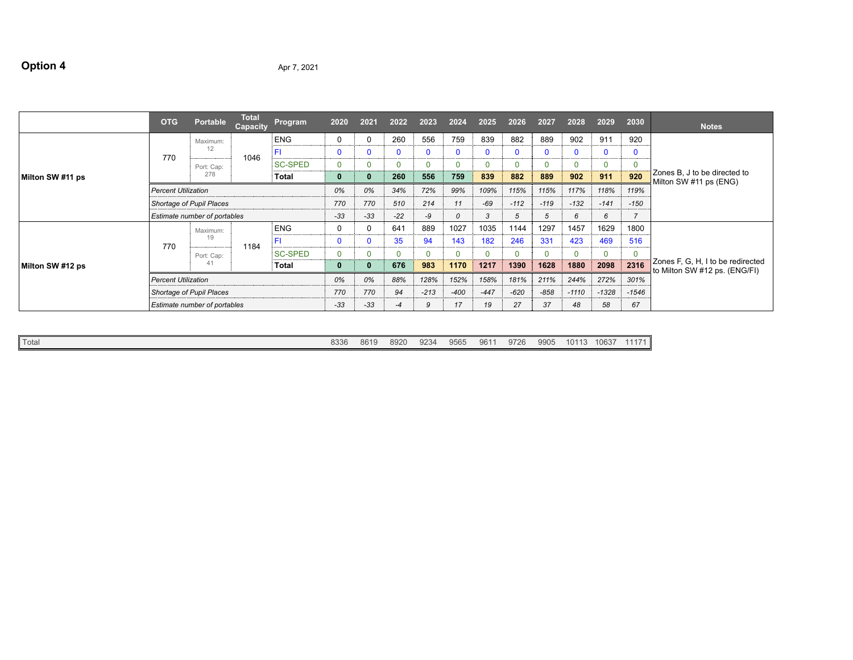## **Option 4** Apr 7, 2021

|                  | <b>OTG</b>                   | <b>Portable</b>            | <b>Total</b><br>Capacity | Program        | 2020     | 2021  | 2022         | 2023     | 2024   | 2025         | 2026     | 2027         | 2028     | 2029        | 2030           | <b>Notes</b>                                                       |
|------------------|------------------------------|----------------------------|--------------------------|----------------|----------|-------|--------------|----------|--------|--------------|----------|--------------|----------|-------------|----------------|--------------------------------------------------------------------|
| Milton SW #11 ps | 770                          | Maximum:                   |                          | <b>ENG</b>     | $\Omega$ |       | 260          | 556      | 759    | 839          | 882      | 889          | 902      | 911         | 920            |                                                                    |
|                  |                              | 12                         | 1046                     | FI             | $\Omega$ |       | $\mathbf{0}$ | n        | n      | 0            |          | $\mathbf{0}$ | 0        | $\mathbf 0$ |                |                                                                    |
|                  |                              | Port: Cap:                 |                          | <b>SC-SPED</b> | 0        |       |              |          |        | $\mathbf{0}$ | $\Omega$ | $\mathbf{0}$ | 0        | $\mathbf 0$ |                |                                                                    |
|                  |                              | 278                        |                          | Total          | 0        |       | 260          | 556      | 759    | 839          | 882      | 889          | 902      | 911         | 920            | Zones B, J to be directed to<br>Milton SW #11 ps (ENG)             |
|                  | <b>Percent Utilization</b>   |                            |                          |                |          | 0%    | 34%          | 72%      | 99%    | 109%         | 115%     | 115%         | 117%     | 118%        | 119%           |                                                                    |
|                  | Shortage of Pupil Places     |                            |                          |                | 770      | 770   | 510          | 214      | 11     | -69          | $-112$   | $-119$       | $-132$   | $-141$      | $-150$         |                                                                    |
|                  | Estimate number of portables |                            |                          |                | $-33$    | $-33$ | $-22$        | -9       | 0      | 3            | 5        | 5            | 6        | 6           | $\overline{z}$ |                                                                    |
|                  | 770                          | Maximum:<br>19             | 1184                     | <b>ENG</b>     | 0        |       | 641          | 889      | 1027   | 1035         | 1144     | 1297         | 1457     | 1629        | 1800           |                                                                    |
|                  |                              |                            |                          | FI             | 0        |       | 35           | 94       | 143    | 182          | 246      | 331          | 423      | 469         | 516            |                                                                    |
|                  |                              | Port: Cap:                 |                          | <b>SC-SPED</b> | $\Omega$ |       | $\Omega$     | $\Omega$ |        | $\Omega$     | $\Omega$ | $\mathbf{0}$ | $\Omega$ | $\mathbf 0$ | $\Omega$       |                                                                    |
| Milton SW #12 ps | 41<br>Total                  |                            |                          |                |          |       | 676          | 983      | 1170   | 1217         | 1390     | 1628         | 1880     | 2098        | 2316           | Zones F, G, H, I to be redirected<br>to Milton SW #12 ps. (ENG/FI) |
|                  |                              | <b>Percent Utilization</b> |                          |                |          | 0%    | 88%          | 128%     | 152%   | 158%         | 181%     | 211%         | 244%     | 272%        | 301%           |                                                                    |
|                  |                              | Shortage of Pupil Places   |                          |                | 770      | 770   | 94           | $-213$   | $-400$ | $-447$       | $-620$   | $-858$       | $-1110$  | $-1328$     | $-1546$        |                                                                    |
|                  | Estimate number of portables |                            |                          |                |          | $-33$ | $-4$         | 9        | 17     | 19           | 27       | 37           | 48       | 58          | 67             |                                                                    |

| Q234<br>961<br>9565<br>061f<br>8920<br>0000<br>270r<br>Total<br>. .<br>80 I.S<br>po oc<br>ສ∠ວ∙ | 9905<br>$\bigcap$<br>.<br>. | $1063$ <sup>-</sup> | $\sim$ $\sim$ $\sim$ |
|------------------------------------------------------------------------------------------------|-----------------------------|---------------------|----------------------|
|------------------------------------------------------------------------------------------------|-----------------------------|---------------------|----------------------|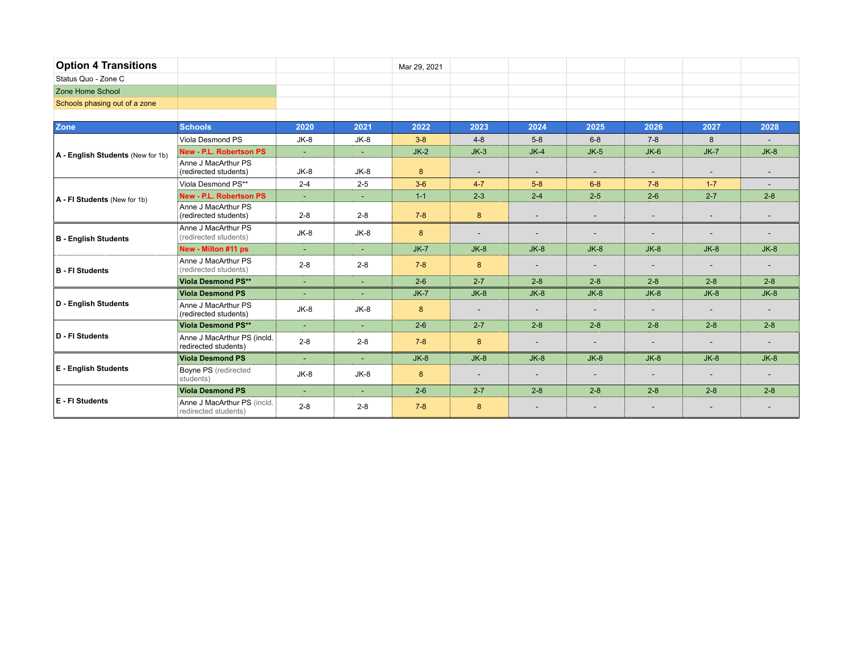| <b>Option 4 Transitions</b>       |                                                     |         |                | Mar 29, 2021 |                          |                          |                          |                          |                          |         |
|-----------------------------------|-----------------------------------------------------|---------|----------------|--------------|--------------------------|--------------------------|--------------------------|--------------------------|--------------------------|---------|
| Status Quo - Zone C               |                                                     |         |                |              |                          |                          |                          |                          |                          |         |
| Zone Home School                  |                                                     |         |                |              |                          |                          |                          |                          |                          |         |
| Schools phasing out of a zone     |                                                     |         |                |              |                          |                          |                          |                          |                          |         |
|                                   |                                                     |         |                |              |                          |                          |                          |                          |                          |         |
| Zone                              | <b>Schools</b>                                      | 2020    | 2021           | 2022         | 2023                     | 2024                     | 2025                     | 2026                     | 2027                     | 2028    |
|                                   | Viola Desmond PS                                    | $JK-8$  | $JK-8$         | $3 - 8$      | $4 - 8$                  | $5 - 8$                  | $6 - 8$                  | $7 - 8$                  | 8                        |         |
| A - English Students (New for 1b) | <b>New - P.L. Robertson PS</b>                      | ÷.      | $\blacksquare$ | $JK-2$       | $JK-3$                   | $JK-4$                   | $JK-5$                   | $JK-6$                   | $JK-7$                   | $JK-8$  |
|                                   | Anne J MacArthur PS<br>(redirected students)        | $JK-8$  | $JK-8$         | 8            | $\overline{\phantom{a}}$ | $\overline{\phantom{a}}$ | $\overline{\phantom{a}}$ | $\overline{\phantom{a}}$ |                          |         |
|                                   | Viola Desmond PS**                                  | $2 - 4$ | $2 - 5$        | $3-6$        | $4 - 7$                  | $5-8$                    | $6 - 8$                  | $7 - 8$                  | $1 - 7$                  |         |
| A - FI Students (New for 1b)      | <b>New - P.L. Robertson PS</b>                      | $\sim$  | $\sim$         | $1 - 1$      | $2 - 3$                  | $2 - 4$                  | $2 - 5$                  | $2-6$                    | $2 - 7$                  | $2 - 8$ |
|                                   | Anne J MacArthur PS<br>(redirected students)        | $2 - 8$ | $2 - 8$        | $7 - 8$      | 8                        | $\overline{\phantom{a}}$ | $\overline{\phantom{a}}$ | $\overline{\phantom{a}}$ | $\overline{\phantom{0}}$ |         |
| <b>B</b> - English Students       | Anne J MacArthur PS<br>(redirected students)        | JK-8    | $JK-8$         | 8            | $\overline{\phantom{a}}$ | $\overline{\phantom{a}}$ | $\overline{\phantom{a}}$ | $\overline{\phantom{0}}$ |                          |         |
|                                   | New - Milton #11 ps                                 | ÷.      | ÷.             | $JK-7$       | $JK-8$                   | $JK-8$                   | $JK-8$                   | $JK-8$                   | $JK-8$                   | $JK-8$  |
| <b>B</b> - FI Students            | Anne J MacArthur PS<br>(redirected students)        | $2 - 8$ | $2 - 8$        | $7 - 8$      | 8                        | $\overline{\phantom{a}}$ | $\overline{\phantom{a}}$ |                          |                          |         |
|                                   | <b>Viola Desmond PS**</b>                           | $\sim$  | ÷.             | $2-6$        | $2 - 7$                  | $2 - 8$                  | $2 - 8$                  | $2 - 8$                  | $2 - 8$                  | $2 - 8$ |
|                                   | <b>Viola Desmond PS</b>                             | ÷       |                | $JK-7$       | $JK-8$                   | $JK-8$                   | $JK-8$                   | $JK-8$                   | $JK-8$                   | $JK-8$  |
| D - English Students              | Anne J MacArthur PS<br>(redirected students)        | $JK-8$  | $JK-8$         | 8            |                          | $\overline{\phantom{a}}$ |                          |                          |                          |         |
|                                   | <b>Viola Desmond PS**</b>                           | $\sim$  | $\sim$         | $2 - 6$      | $2 - 7$                  | $2 - 8$                  | $2 - 8$                  | $2 - 8$                  | $2 - 8$                  | $2 - 8$ |
| D - FI Students                   | Anne J MacArthur PS (incld.<br>redirected students) | $2 - 8$ | $2 - 8$        | $7 - 8$      | 8                        | $\overline{\phantom{a}}$ | $\overline{\phantom{a}}$ | $\overline{\phantom{a}}$ | $\overline{\phantom{0}}$ |         |
|                                   | <b>Viola Desmond PS</b>                             | $\sim$  | $\blacksquare$ | $JK-8$       | $JK-8$                   | $JK-8$                   | $JK-8$                   | $JK-8$                   | $JK-8$                   | $JK-8$  |
| <b>E</b> - English Students       | Boyne PS (redirected<br>students)                   | $JK-8$  | $JK-8$         | 8            | $\overline{\phantom{a}}$ | $\overline{\phantom{a}}$ | $\overline{\phantom{a}}$ | $\overline{\phantom{a}}$ | $\overline{\phantom{a}}$ |         |
|                                   | <b>Viola Desmond PS</b>                             | ÷.      |                | $2 - 6$      | $2 - 7$                  | $2 - 8$                  | $2 - 8$                  | $2 - 8$                  | $2 - 8$                  | $2 - 8$ |
| E - FI Students                   | Anne J MacArthur PS (incld.<br>redirected students) | $2 - 8$ | $2 - 8$        | $7 - 8$      | 8                        | $\overline{\phantom{a}}$ |                          |                          |                          |         |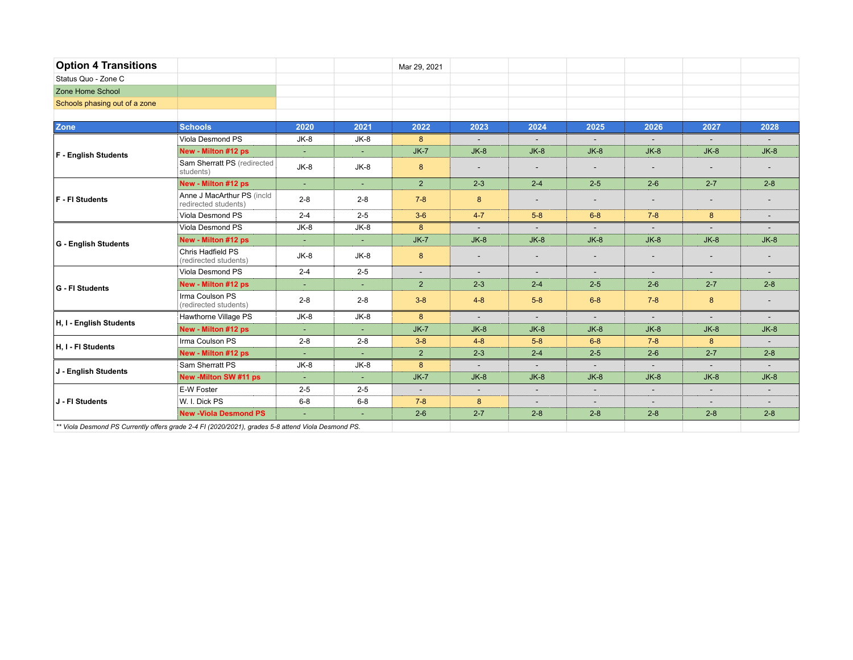| <b>Option 4 Transitions</b>                                                                       |                                                    |                |         | Mar 29, 2021 |                          |                          |                          |                          |                          |                          |
|---------------------------------------------------------------------------------------------------|----------------------------------------------------|----------------|---------|--------------|--------------------------|--------------------------|--------------------------|--------------------------|--------------------------|--------------------------|
| Status Quo - Zone C                                                                               |                                                    |                |         |              |                          |                          |                          |                          |                          |                          |
| Zone Home School                                                                                  |                                                    |                |         |              |                          |                          |                          |                          |                          |                          |
| Schools phasing out of a zone                                                                     |                                                    |                |         |              |                          |                          |                          |                          |                          |                          |
|                                                                                                   |                                                    |                |         |              |                          |                          |                          |                          |                          |                          |
| <b>Zone</b>                                                                                       | <b>Schools</b>                                     | 2020           | 2021    | 2022         | 2023                     | 2024                     | 2025                     | 2026                     | 2027                     | 2028                     |
|                                                                                                   | Viola Desmond PS                                   | $JK-8$         | $JK-8$  | 8            | $\overline{a}$           | $\sim$                   | $\sim$                   | $\sim$                   | $\sim$                   |                          |
| <b>F</b> - English Students                                                                       | New - Milton #12 ps                                | $\blacksquare$ |         | $JK-7$       | $JK-8$                   | $JK-8$                   | $JK-8$                   | $JK-8$                   | $JK-8$                   | $JK-8$                   |
|                                                                                                   | Sam Sherratt PS (redirected<br>students)           | JK-8           | $JK-8$  | 8            | $\overline{\phantom{a}}$ | $\overline{\phantom{a}}$ |                          |                          | $\overline{\phantom{a}}$ |                          |
|                                                                                                   | New - Milton #12 ps                                | $\sim$         | $\sim$  | $2^{\circ}$  | $2 - 3$                  | $2 - 4$                  | $2 - 5$                  | $2-6$                    | $2 - 7$                  | $2 - 8$                  |
| <b>F</b> - FI Students                                                                            | Anne J MacArthur PS (incld<br>redirected students) | $2 - 8$        | $2 - 8$ | $7 - 8$      | 8                        | $\overline{\phantom{a}}$ | $\overline{\phantom{a}}$ | $\overline{\phantom{a}}$ | $\overline{\phantom{a}}$ |                          |
|                                                                                                   | Viola Desmond PS                                   | $2 - 4$        | $2 - 5$ | $3-6$        | $4 - 7$                  | $5 - 8$                  | $6 - 8$                  | $7 - 8$                  | 8                        | $\overline{\phantom{a}}$ |
| G - English Students                                                                              | Viola Desmond PS                                   | JK-8           | JK-8    | 8            | $\sim$                   | $\sim$                   | $\sim$                   | $\sim$                   | $\sim$                   |                          |
|                                                                                                   | New - Milton #12 ps                                | $\blacksquare$ | ٠       | $JK-7$       | $JK-8$                   | $JK-8$                   | $JK-8$                   | $JK-8$                   | $JK-8$                   | $JK-8$                   |
|                                                                                                   | Chris Hadfield PS<br>(redirected students)         | JK-8           | $JK-8$  | 8            | $\overline{\phantom{a}}$ | $\overline{\phantom{a}}$ |                          |                          |                          |                          |
|                                                                                                   | Viola Desmond PS                                   | $2 - 4$        | $2 - 5$ | $\sim$       | $\sim$                   | $\sim$                   | $\overline{\phantom{a}}$ | $\sim$                   | $\sim$                   |                          |
| G - FI Students                                                                                   | New - Milton #12 ps                                | ÷              | $\sim$  | $2^{\circ}$  | $2 - 3$                  | $2 - 4$                  | $2 - 5$                  | $2-6$                    | $2 - 7$                  | $2 - 8$                  |
|                                                                                                   | Irma Coulson PS<br>(redirected students)           | $2 - 8$        | $2 - 8$ | $3 - 8$      | $4 - 8$                  | $5 - 8$                  | $6 - 8$                  | $7 - 8$                  | 8                        |                          |
|                                                                                                   | Hawthorne Village PS                               | JK-8           | $JK-8$  | 8            | $\sim$                   | $\blacksquare$           | $\sim$                   | $\sim$                   | $\sim$                   | $\sim$                   |
| H, I - English Students                                                                           | New - Milton #12 ps                                |                |         | $JK-7$       | $JK-8$                   | $JK-8$                   | $JK-8$                   | $JK-8$                   | $JK-8$                   | $JK-8$                   |
| H.I - FI Students                                                                                 | Irma Coulson PS                                    | $2 - 8$        | $2 - 8$ | $3 - 8$      | $4 - 8$                  | $5 - 8$                  | $6 - 8$                  | $7 - 8$                  | 8                        |                          |
|                                                                                                   | New - Milton #12 ps                                | ÷.             |         | $2^{\circ}$  | $2 - 3$                  | $2 - 4$                  | $2 - 5$                  | $2-6$                    | $2 - 7$                  | $2 - 8$                  |
| J - English Students                                                                              | Sam Sherratt PS                                    | $JK-8$         | $JK-8$  | 8            | $\sim$                   | $\sim$                   | $\sim$                   | $\sim$                   | $\sim$                   |                          |
|                                                                                                   | New -Milton SW #11 ps                              | ÷.             | ÷.      | $JK-7$       | $JK-8$                   | $JK-8$                   | $JK-8$                   | $JK-8$                   | $JK-8$                   | $JK-8$                   |
| J - FI Students                                                                                   | E-W Foster                                         | $2 - 5$        | $2 - 5$ | $\sim$       | $\overline{\phantom{a}}$ | $\overline{\phantom{a}}$ | $\overline{\phantom{a}}$ | $\overline{\phantom{a}}$ | $\overline{\phantom{a}}$ |                          |
|                                                                                                   | W. I. Dick PS                                      | $6 - 8$        | $6 - 8$ | $7 - 8$      | 8                        | $\overline{\phantom{a}}$ | $\sim$                   | $\sim$                   | $\overline{a}$           |                          |
|                                                                                                   | <b>New -Viola Desmond PS</b>                       |                |         | $2 - 6$      | $2 - 7$                  | $2 - 8$                  | $2 - 8$                  | $2 - 8$                  | $2 - 8$                  | $2 - 8$                  |
| ** Viola Desmond PS Currently offers arade 2.4 EL (2020/2021), arades 5-8 attend Viola Desmond PS |                                                    |                |         |              |                          |                          |                          |                          |                          |                          |

*\*\* Viola Desmond PS Currently offers grade 2-4 FI (2020/2021), grades 5-8 attend Viola Desmond PS.*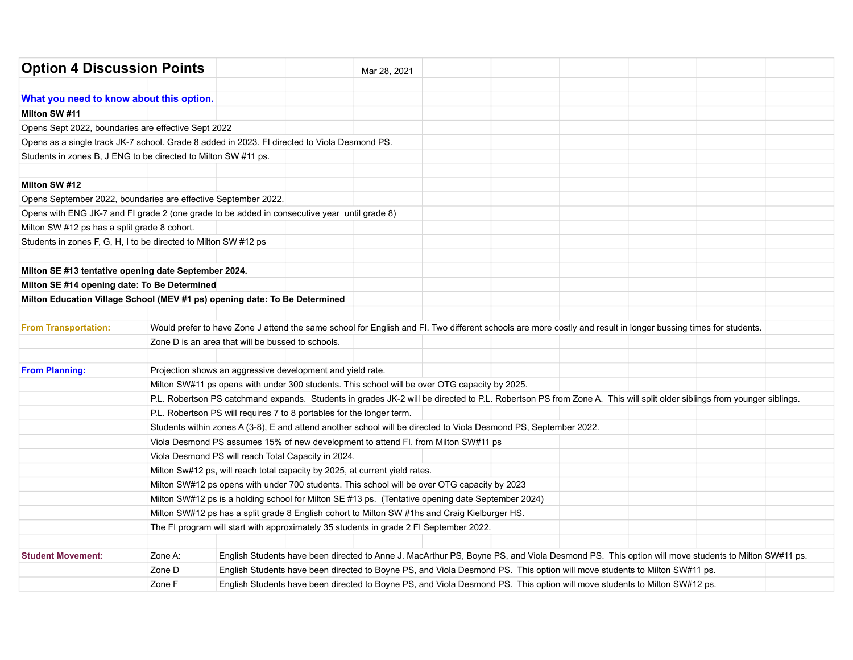| <b>Option 4 Discussion Points</b>                                                            |         |                                                                                                                  | Mar 28, 2021                                                                                                              |  |  |                                                                                                                                                                       |  |
|----------------------------------------------------------------------------------------------|---------|------------------------------------------------------------------------------------------------------------------|---------------------------------------------------------------------------------------------------------------------------|--|--|-----------------------------------------------------------------------------------------------------------------------------------------------------------------------|--|
| What you need to know about this option.                                                     |         |                                                                                                                  |                                                                                                                           |  |  |                                                                                                                                                                       |  |
| Milton SW #11                                                                                |         |                                                                                                                  |                                                                                                                           |  |  |                                                                                                                                                                       |  |
| Opens Sept 2022, boundaries are effective Sept 2022                                          |         |                                                                                                                  |                                                                                                                           |  |  |                                                                                                                                                                       |  |
| Opens as a single track JK-7 school. Grade 8 added in 2023. FI directed to Viola Desmond PS. |         |                                                                                                                  |                                                                                                                           |  |  |                                                                                                                                                                       |  |
| Students in zones B, J ENG to be directed to Milton SW #11 ps.                               |         |                                                                                                                  |                                                                                                                           |  |  |                                                                                                                                                                       |  |
|                                                                                              |         |                                                                                                                  |                                                                                                                           |  |  |                                                                                                                                                                       |  |
| Milton SW #12                                                                                |         |                                                                                                                  |                                                                                                                           |  |  |                                                                                                                                                                       |  |
| Opens September 2022, boundaries are effective September 2022.                               |         |                                                                                                                  |                                                                                                                           |  |  |                                                                                                                                                                       |  |
| Opens with ENG JK-7 and FI grade 2 (one grade to be added in consecutive year until grade 8) |         |                                                                                                                  |                                                                                                                           |  |  |                                                                                                                                                                       |  |
| Milton SW #12 ps has a split grade 8 cohort.                                                 |         |                                                                                                                  |                                                                                                                           |  |  |                                                                                                                                                                       |  |
| Students in zones F, G, H, I to be directed to Milton SW #12 ps                              |         |                                                                                                                  |                                                                                                                           |  |  |                                                                                                                                                                       |  |
|                                                                                              |         |                                                                                                                  |                                                                                                                           |  |  |                                                                                                                                                                       |  |
| Milton SE #13 tentative opening date September 2024.                                         |         |                                                                                                                  |                                                                                                                           |  |  |                                                                                                                                                                       |  |
| Milton SE #14 opening date: To Be Determined                                                 |         |                                                                                                                  |                                                                                                                           |  |  |                                                                                                                                                                       |  |
| Milton Education Village School (MEV #1 ps) opening date: To Be Determined                   |         |                                                                                                                  |                                                                                                                           |  |  |                                                                                                                                                                       |  |
|                                                                                              |         |                                                                                                                  |                                                                                                                           |  |  |                                                                                                                                                                       |  |
| <b>From Transportation:</b>                                                                  |         |                                                                                                                  |                                                                                                                           |  |  | Would prefer to have Zone J attend the same school for English and FI. Two different schools are more costly and result in longer bussing times for students.         |  |
|                                                                                              |         | Zone D is an area that will be bussed to schools.-                                                               |                                                                                                                           |  |  |                                                                                                                                                                       |  |
|                                                                                              |         |                                                                                                                  |                                                                                                                           |  |  |                                                                                                                                                                       |  |
| <b>From Planning:</b>                                                                        |         | Projection shows an aggressive development and yield rate.                                                       |                                                                                                                           |  |  |                                                                                                                                                                       |  |
|                                                                                              |         | Milton SW#11 ps opens with under 300 students. This school will be over OTG capacity by 2025.                    |                                                                                                                           |  |  |                                                                                                                                                                       |  |
|                                                                                              |         |                                                                                                                  |                                                                                                                           |  |  | P.L. Robertson PS catchmand expands. Students in grades JK-2 will be directed to P.L. Robertson PS from Zone A. This will split older siblings from younger siblings. |  |
|                                                                                              |         | P.L. Robertson PS will requires 7 to 8 portables for the longer term.                                            |                                                                                                                           |  |  |                                                                                                                                                                       |  |
|                                                                                              |         | Students within zones A (3-8), E and attend another school will be directed to Viola Desmond PS, September 2022. |                                                                                                                           |  |  |                                                                                                                                                                       |  |
|                                                                                              |         | Viola Desmond PS assumes 15% of new development to attend FI, from Milton SW#11 ps                               |                                                                                                                           |  |  |                                                                                                                                                                       |  |
|                                                                                              |         | Viola Desmond PS will reach Total Capacity in 2024.                                                              |                                                                                                                           |  |  |                                                                                                                                                                       |  |
|                                                                                              |         | Milton Sw#12 ps, will reach total capacity by 2025, at current yield rates.                                      |                                                                                                                           |  |  |                                                                                                                                                                       |  |
|                                                                                              |         | Milton SW#12 ps opens with under 700 students. This school will be over OTG capacity by 2023                     |                                                                                                                           |  |  |                                                                                                                                                                       |  |
|                                                                                              |         | Milton SW#12 ps is a holding school for Milton SE #13 ps. (Tentative opening date September 2024)                |                                                                                                                           |  |  |                                                                                                                                                                       |  |
|                                                                                              |         | Milton SW#12 ps has a split grade 8 English cohort to Milton SW #1hs and Craig Kielburger HS.                    |                                                                                                                           |  |  |                                                                                                                                                                       |  |
|                                                                                              |         | The FI program will start with approximately 35 students in grade 2 FI September 2022.                           |                                                                                                                           |  |  |                                                                                                                                                                       |  |
|                                                                                              |         |                                                                                                                  |                                                                                                                           |  |  |                                                                                                                                                                       |  |
| <b>Student Movement:</b>                                                                     | Zone A: |                                                                                                                  |                                                                                                                           |  |  | English Students have been directed to Anne J. MacArthur PS, Boyne PS, and Viola Desmond PS. This option will move students to Milton SW#11 ps.                       |  |
|                                                                                              | Zone D  |                                                                                                                  | English Students have been directed to Boyne PS, and Viola Desmond PS. This option will move students to Milton SW#11 ps. |  |  |                                                                                                                                                                       |  |
|                                                                                              | Zone F  |                                                                                                                  | English Students have been directed to Boyne PS, and Viola Desmond PS. This option will move students to Milton SW#12 ps. |  |  |                                                                                                                                                                       |  |